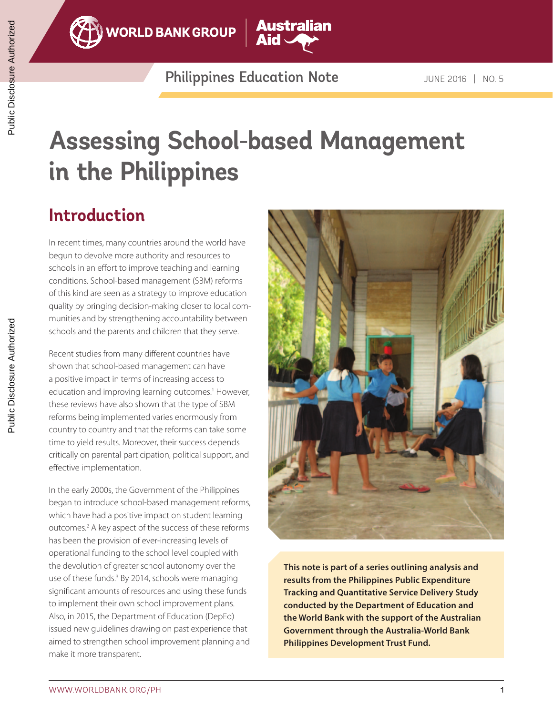

**WORLD BANK GROUP** 

Philippines Education Note JUNE 2016 | NO. 5

**Australian** 

# **Assessing School-based Management in the Philippines**

### **Introduction**

In recent times, many countries around the world have begun to devolve more authority and resources to schools in an effort to improve teaching and learning conditions. School-based management (SBM) reforms of this kind are seen as a strategy to improve education quality by bringing decision-making closer to local communities and by strengthening accountability between schools and the parents and children that they serve.

Recent studies from many different countries have shown that school-based management can have a positive impact in terms of increasing access to education and improving learning outcomes.<sup>1</sup> However, these reviews have also shown that the type of SBM reforms being implemented varies enormously from country to country and that the reforms can take some time to yield results. Moreover, their success depends critically on parental participation, political support, and effective implementation.

In the early 2000s, the Government of the Philippines began to introduce school-based management reforms, which have had a positive impact on student learning outcomes.<sup>2</sup> A key aspect of the success of these reforms has been the provision of ever-increasing levels of operational funding to the school level coupled with the devolution of greater school autonomy over the use of these funds.<sup>3</sup> By 2014, schools were managing significant amounts of resources and using these funds to implement their own school improvement plans. Also, in 2015, the Department of Education (DepEd) issued new guidelines drawing on past experience that aimed to strengthen school improvement planning and make it more transparent.



**This note is part of a series outlining analysis and results from the Philippines Public Expenditure Tracking and Quantitative Service Delivery Study conducted by the Department of Education and the World Bank with the support of the Australian Government through the Australia-World Bank Philippines Development Trust Fund.**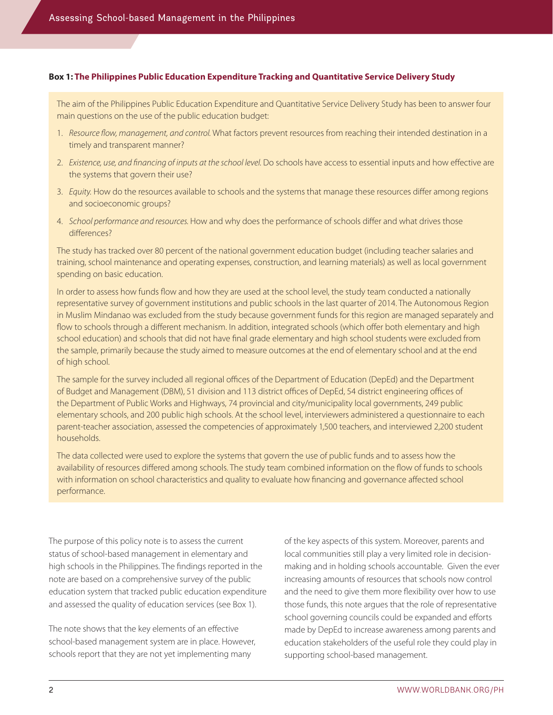#### **Box 1: The Philippines Public Education Expenditure Tracking and Quantitative Service Delivery Study**

The aim of the Philippines Public Education Expenditure and Quantitative Service Delivery Study has been to answer four main questions on the use of the public education budget:

- 1. *Resource flow, management, and control.* What factors prevent resources from reaching their intended destination in a timely and transparent manner?
- 2. *Existence, use, and financing of inputs at the school level.* Do schools have access to essential inputs and how effective are the systems that govern their use?
- 3. *Equity.* How do the resources available to schools and the systems that manage these resources differ among regions and socioeconomic groups?
- 4. *School performance and resources.* How and why does the performance of schools differ and what drives those differences?

The study has tracked over 80 percent of the national government education budget (including teacher salaries and training, school maintenance and operating expenses, construction, and learning materials) as well as local government spending on basic education.

In order to assess how funds flow and how they are used at the school level, the study team conducted a nationally representative survey of government institutions and public schools in the last quarter of 2014. The Autonomous Region in Muslim Mindanao was excluded from the study because government funds for this region are managed separately and flow to schools through a different mechanism. In addition, integrated schools (which offer both elementary and high school education) and schools that did not have final grade elementary and high school students were excluded from the sample, primarily because the study aimed to measure outcomes at the end of elementary school and at the end of high school.

The sample for the survey included all regional offices of the Department of Education (DepEd) and the Department of Budget and Management (DBM), 51 division and 113 district offices of DepEd, 54 district engineering offices of the Department of Public Works and Highways, 74 provincial and city/municipality local governments, 249 public elementary schools, and 200 public high schools. At the school level, interviewers administered a questionnaire to each parent-teacher association, assessed the competencies of approximately 1,500 teachers, and interviewed 2,200 student households.

The data collected were used to explore the systems that govern the use of public funds and to assess how the availability of resources differed among schools. The study team combined information on the flow of funds to schools with information on school characteristics and quality to evaluate how financing and governance affected school performance.

The purpose of this policy note is to assess the current status of school-based management in elementary and high schools in the Philippines. The findings reported in the note are based on a comprehensive survey of the public education system that tracked public education expenditure and assessed the quality of education services (see Box 1).

The note shows that the key elements of an effective school-based management system are in place. However, schools report that they are not yet implementing many

of the key aspects of this system. Moreover, parents and local communities still play a very limited role in decisionmaking and in holding schools accountable. Given the ever increasing amounts of resources that schools now control and the need to give them more flexibility over how to use those funds, this note argues that the role of representative school governing councils could be expanded and efforts made by DepEd to increase awareness among parents and education stakeholders of the useful role they could play in supporting school-based management.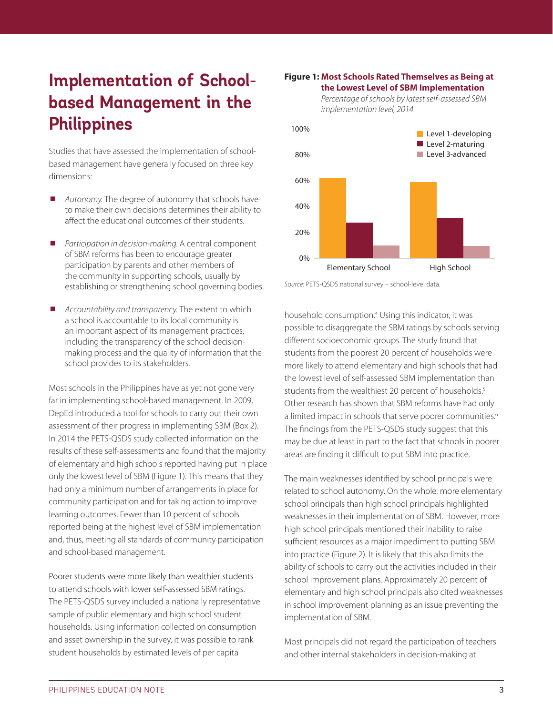### **Implementation of Schoolbased Management in the Philippines**

Studies that have assessed the implementation of schoolbased management have generally focused on three key dimensions:

- ¾ *Autonomy.* The degree of autonomy that schools have to make their own decisions determines their ability to affect the educational outcomes of their students.
- ¾ *Participation in decision-making.* A central component of SBM reforms has been to encourage greater participation by parents and other members of the community in supporting schools, usually by establishing or strengthening school governing bodies.
- ¾ *Accountability and transparency.* The extent to which a school is accountable to its local community is an important aspect of its management practices, including the transparency of the school decisionmaking process and the quality of information that the school provides to its stakeholders.

Most schools in the Philippines have as yet not gone very far in implementing school-based management. In 2009, DepEd introduced a tool for schools to carry out their own assessment of their progress in implementing SBM (Box 2). In 2014 the PETS-QSDS study collected information on the results of these self-assessments and found that the majority of elementary and high schools reported having put in place only the lowest level of SBM (Figure 1). This means that they had only a minimum number of arrangements in place for community participation and for taking action to improve learning outcomes. Fewer than 10 percent of schools reported being at the highest level of SBM implementation and, thus, meeting all standards of community participation and school-based management.

Poorer students were more likely than wealthier students to attend schools with lower self-assessed SBM ratings. The PETS-QSDS survey included a nationally representative sample of public elementary and high school student households. Using information collected on consumption and asset ownership in the survey, it was possible to rank student households by estimated levels of per capita

#### **Figure 1: Most Schools Rated Themselves as Being at the Lowest Level of SBM Implementation**

*implementation level, 2014*

*Percentage of schools by latest self-assessed SBM* 



*Source:* PETS-QSDS national survey – school-level data.

household consumption.4 Using this indicator, it was possible to disaggregate the SBM ratings by schools serving different socioeconomic groups. The study found that students from the poorest 20 percent of households were more likely to attend elementary and high schools that had the lowest level of self-assessed SBM implementation than students from the wealthiest 20 percent of households.<sup>5</sup> Other research has shown that SBM reforms have had only a limited impact in schools that serve poorer communities.<sup>6</sup> The findings from the PETS-QSDS study suggest that this may be due at least in part to the fact that schools in poorer areas are finding it difficult to put SBM into practice.

The main weaknesses identified by school principals were related to school autonomy. On the whole, more elementary school principals than high school principals highlighted weaknesses in their implementation of SBM. However, more high school principals mentioned their inability to raise sufficient resources as a major impediment to putting SBM into practice (Figure 2). It is likely that this also limits the ability of schools to carry out the activities included in their school improvement plans. Approximately 20 percent of elementary and high school principals also cited weaknesses in school improvement planning as an issue preventing the implementation of SBM.

Most principals did not regard the participation of teachers and other internal stakeholders in decision-making at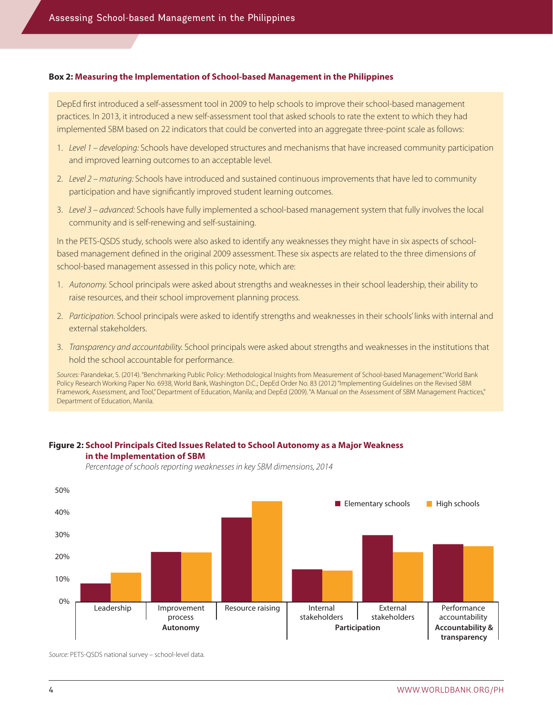#### **Box 2: Measuring the Implementation of School-based Management in the Philippines**

DepEd first introduced a self-assessment tool in 2009 to help schools to improve their school-based management practices. In 2013, it introduced a new self-assessment tool that asked schools to rate the extent to which they had implemented SBM based on 22 indicators that could be converted into an aggregate three-point scale as follows:

- 1. *Level 1 developing:* Schools have developed structures and mechanisms that have increased community participation and improved learning outcomes to an acceptable level.
- 2. *Level 2 maturing:* Schools have introduced and sustained continuous improvements that have led to community participation and have significantly improved student learning outcomes.
- 3. *Level 3 advanced:* Schools have fully implemented a school-based management system that fully involves the local community and is self-renewing and self-sustaining.

In the PETS-QSDS study, schools were also asked to identify any weaknesses they might have in six aspects of schoolbased management defined in the original 2009 assessment. These six aspects are related to the three dimensions of school-based management assessed in this policy note, which are:

- 1. *Autonomy.* School principals were asked about strengths and weaknesses in their school leadership, their ability to raise resources, and their school improvement planning process.
- 2. *Participation.* School principals were asked to identify strengths and weaknesses in their schools' links with internal and external stakeholders.
- 3. *Transparency and accountability.* School principals were asked about strengths and weaknesses in the institutions that hold the school accountable for performance.

Sources: Parandekar, S. (2014). "Benchmarking Public Policy: Methodological Insights from Measurement of School-based Management." World Bank Policy Research Working Paper No. 6938, World Bank, Washington D.C.; DepEd Order No. 83 (2012) "Implementing Guidelines on the Revised SBM Framework, Assessment, and Tool," Department of Education, Manila; and DepEd (2009). "A Manual on the Assessment of SBM Management Practices," Department of Education, Manila.

#### **Figure 2: School Principals Cited Issues Related to School Autonomy as a Major Weakness in the Implementation of SBM**



*Percentage of schools reporting weaknesses in key SBM dimensions, 2014*

*Source:* PETS-QSDS national survey – school-level data.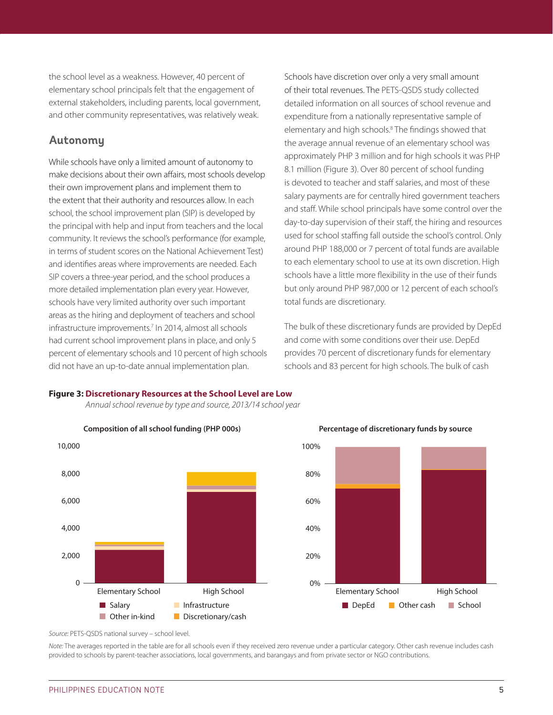the school level as a weakness. However, 40 percent of elementary school principals felt that the engagement of external stakeholders, including parents, local government, and other community representatives, was relatively weak.

#### **Autonomy**

While schools have only a limited amount of autonomy to make decisions about their own affairs, most schools develop their own improvement plans and implement them to the extent that their authority and resources allow. In each school, the school improvement plan (SIP) is developed by the principal with help and input from teachers and the local community. It reviews the school's performance (for example, in terms of student scores on the National Achievement Test) and identifies areas where improvements are needed. Each SIP covers a three-year period, and the school produces a more detailed implementation plan every year. However, schools have very limited authority over such important areas as the hiring and deployment of teachers and school infrastructure improvements.7 In 2014, almost all schools had current school improvement plans in place, and only 5 percent of elementary schools and 10 percent of high schools did not have an up-to-date annual implementation plan.

Schools have discretion over only a very small amount of their total revenues. The PETS-QSDS study collected detailed information on all sources of school revenue and expenditure from a nationally representative sample of elementary and high schools.<sup>8</sup> The findings showed that the average annual revenue of an elementary school was approximately PHP 3 million and for high schools it was PHP 8.1 million (Figure 3). Over 80 percent of school funding is devoted to teacher and staff salaries, and most of these salary payments are for centrally hired government teachers and staff. While school principals have some control over the day-to-day supervision of their staff, the hiring and resources used for school staffing fall outside the school's control. Only around PHP 188,000 or 7 percent of total funds are available to each elementary school to use at its own discretion. High schools have a little more flexibility in the use of their funds but only around PHP 987,000 or 12 percent of each school's total funds are discretionary.

The bulk of these discretionary funds are provided by DepEd and come with some conditions over their use. DepEd provides 70 percent of discretionary funds for elementary schools and 83 percent for high schools. The bulk of cash

#### **Figure 3: Discretionary Resources at the School Level are Low**

*Annual school revenue by type and source, 2013/14 school year*





*Source:* PETS-QSDS national survey – school level.

*Note:* The averages reported in the table are for all schools even if they received zero revenue under a particular category. Other cash revenue includes cash provided to schools by parent-teacher associations, local governments, and barangays and from private sector or NGO contributions.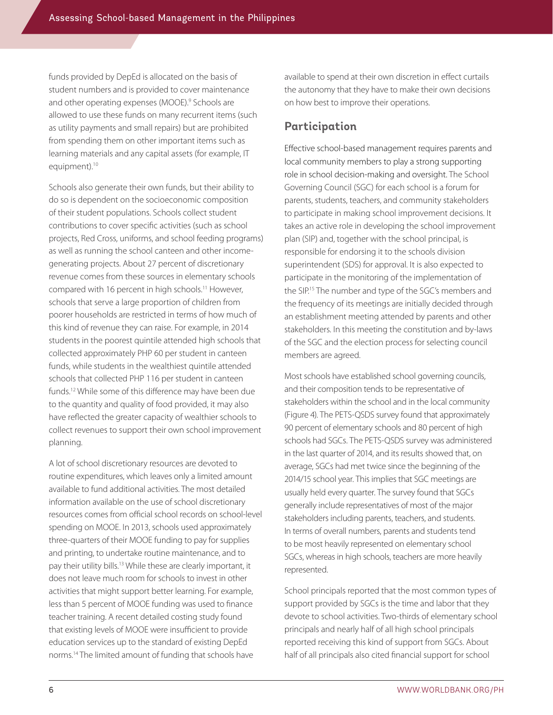funds provided by DepEd is allocated on the basis of student numbers and is provided to cover maintenance and other operating expenses (MOOE).9 Schools are allowed to use these funds on many recurrent items (such as utility payments and small repairs) but are prohibited from spending them on other important items such as learning materials and any capital assets (for example, IT equipment).<sup>10</sup>

Schools also generate their own funds, but their ability to do so is dependent on the socioeconomic composition of their student populations. Schools collect student contributions to cover specific activities (such as school projects, Red Cross, uniforms, and school feeding programs) as well as running the school canteen and other incomegenerating projects. About 27 percent of discretionary revenue comes from these sources in elementary schools compared with 16 percent in high schools.<sup>11</sup> However, schools that serve a large proportion of children from poorer households are restricted in terms of how much of this kind of revenue they can raise. For example, in 2014 students in the poorest quintile attended high schools that collected approximately PHP 60 per student in canteen funds, while students in the wealthiest quintile attended schools that collected PHP 116 per student in canteen funds.12 While some of this difference may have been due to the quantity and quality of food provided, it may also have reflected the greater capacity of wealthier schools to collect revenues to support their own school improvement planning.

A lot of school discretionary resources are devoted to routine expenditures, which leaves only a limited amount available to fund additional activities. The most detailed information available on the use of school discretionary resources comes from official school records on school-level spending on MOOE. In 2013, schools used approximately three-quarters of their MOOE funding to pay for supplies and printing, to undertake routine maintenance, and to pay their utility bills.13 While these are clearly important, it does not leave much room for schools to invest in other activities that might support better learning. For example, less than 5 percent of MOOE funding was used to finance teacher training. A recent detailed costing study found that existing levels of MOOE were insufficient to provide education services up to the standard of existing DepEd norms.14 The limited amount of funding that schools have

available to spend at their own discretion in effect curtails the autonomy that they have to make their own decisions on how best to improve their operations.

### **Participation**

Effective school-based management requires parents and local community members to play a strong supporting role in school decision-making and oversight. The School Governing Council (SGC) for each school is a forum for parents, students, teachers, and community stakeholders to participate in making school improvement decisions. It takes an active role in developing the school improvement plan (SIP) and, together with the school principal, is responsible for endorsing it to the schools division superintendent (SDS) for approval. It is also expected to participate in the monitoring of the implementation of the SIP.15 The number and type of the SGC's members and the frequency of its meetings are initially decided through an establishment meeting attended by parents and other stakeholders. In this meeting the constitution and by-laws of the SGC and the election process for selecting council members are agreed.

Most schools have established school governing councils, and their composition tends to be representative of stakeholders within the school and in the local community (Figure 4). The PETS-QSDS survey found that approximately 90 percent of elementary schools and 80 percent of high schools had SGCs. The PETS-QSDS survey was administered in the last quarter of 2014, and its results showed that, on average, SGCs had met twice since the beginning of the 2014/15 school year. This implies that SGC meetings are usually held every quarter. The survey found that SGCs generally include representatives of most of the major stakeholders including parents, teachers, and students. In terms of overall numbers, parents and students tend to be most heavily represented on elementary school SGCs, whereas in high schools, teachers are more heavily represented.

School principals reported that the most common types of support provided by SGCs is the time and labor that they devote to school activities. Two-thirds of elementary school principals and nearly half of all high school principals reported receiving this kind of support from SGCs. About half of all principals also cited financial support for school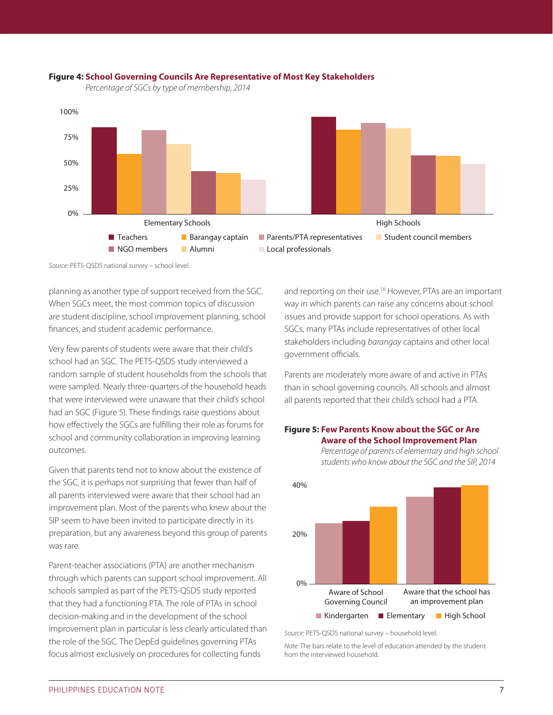

#### **Figure 4: School Governing Councils Are Representative of Most Key Stakeholders**

*Percentage of SGCs by type of membership, 2014*

*Source:* PETS-QSDS national survey – school level.

planning as another type of support received from the SGC. When SGCs meet, the most common topics of discussion are student discipline, school improvement planning, school finances, and student academic performance.

Very few parents of students were aware that their child's school had an SGC. The PETS-QSDS study interviewed a random sample of student households from the schools that were sampled. Nearly three-quarters of the household heads that were interviewed were unaware that their child's school had an SGC (Figure 5). These findings raise questions about how effectively the SGCs are fulfilling their role as forums for school and community collaboration in improving learning outcomes.

Given that parents tend not to know about the existence of the SGC, it is perhaps not surprising that fewer than half of all parents interviewed were aware that their school had an improvement plan. Most of the parents who knew about the SIP seem to have been invited to participate directly in its preparation, but any awareness beyond this group of parents was rare.

Parent-teacher associations (PTA) are another mechanism through which parents can support school improvement. All schools sampled as part of the PETS-QSDS study reported that they had a functioning PTA. The role of PTAs in school decision-making and in the development of the school improvement plan in particular is less clearly articulated than the role of the SGC. The DepEd guidelines governing PTAs focus almost exclusively on procedures for collecting funds

and reporting on their use.<sup>16</sup> However, PTAs are an important way in which parents can raise any concerns about school issues and provide support for school operations. As with SGCs, many PTAs include representatives of other local stakeholders including *barangay* captains and other local government officials.

Parents are moderately more aware of and active in PTAs than in school governing councils. All schools and almost all parents reported that their child's school had a PTA.

#### **Figure 5: Few Parents Know about the SGC or Are Aware of the School Improvement Plan**



*Percentage of parents of elementary and high school students who know about the SGC and the SIP, 2014*

*Note:* The bars relate to the level of education attended by the student from the interviewed household.

*Source:* PETS-QSDS national survey – household level.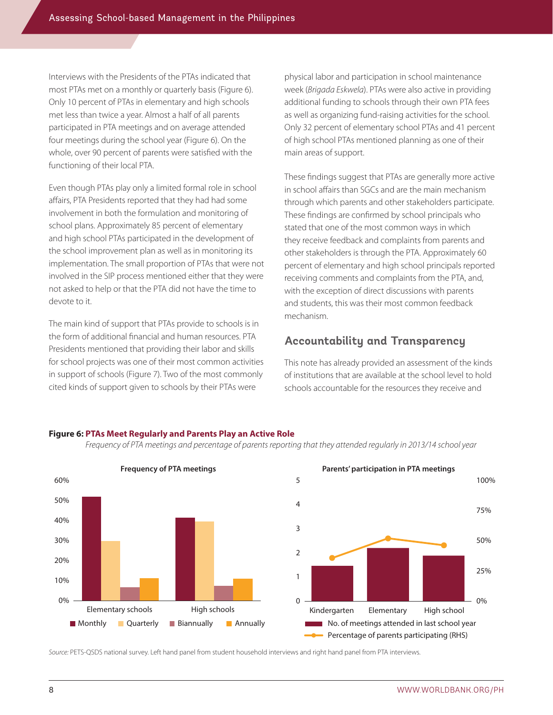Interviews with the Presidents of the PTAs indicated that most PTAs met on a monthly or quarterly basis (Figure 6). Only 10 percent of PTAs in elementary and high schools met less than twice a year. Almost a half of all parents participated in PTA meetings and on average attended four meetings during the school year (Figure 6). On the whole, over 90 percent of parents were satisfied with the functioning of their local PTA.

Even though PTAs play only a limited formal role in school affairs, PTA Presidents reported that they had had some involvement in both the formulation and monitoring of school plans. Approximately 85 percent of elementary and high school PTAs participated in the development of the school improvement plan as well as in monitoring its implementation. The small proportion of PTAs that were not involved in the SIP process mentioned either that they were not asked to help or that the PTA did not have the time to devote to it.

The main kind of support that PTAs provide to schools is in the form of additional financial and human resources. PTA Presidents mentioned that providing their labor and skills for school projects was one of their most common activities in support of schools (Figure 7). Two of the most commonly cited kinds of support given to schools by their PTAs were

physical labor and participation in school maintenance week (*Brigada Eskwela*). PTAs were also active in providing additional funding to schools through their own PTA fees as well as organizing fund-raising activities for the school. Only 32 percent of elementary school PTAs and 41 percent of high school PTAs mentioned planning as one of their main areas of support.

These findings suggest that PTAs are generally more active in school affairs than SGCs and are the main mechanism through which parents and other stakeholders participate. These findings are confirmed by school principals who stated that one of the most common ways in which they receive feedback and complaints from parents and other stakeholders is through the PTA. Approximately 60 percent of elementary and high school principals reported receiving comments and complaints from the PTA, and, with the exception of direct discussions with parents and students, this was their most common feedback mechanism.

#### **Accountability and Transparency**

This note has already provided an assessment of the kinds of institutions that are available at the school level to hold schools accountable for the resources they receive and





*Frequency of PTA meetings and percentage of parents reporting that they attended regularly in 2013/14 school year*

*Source:* PETS-QSDS national survey. Left hand panel from student household interviews and right hand panel from PTA interviews.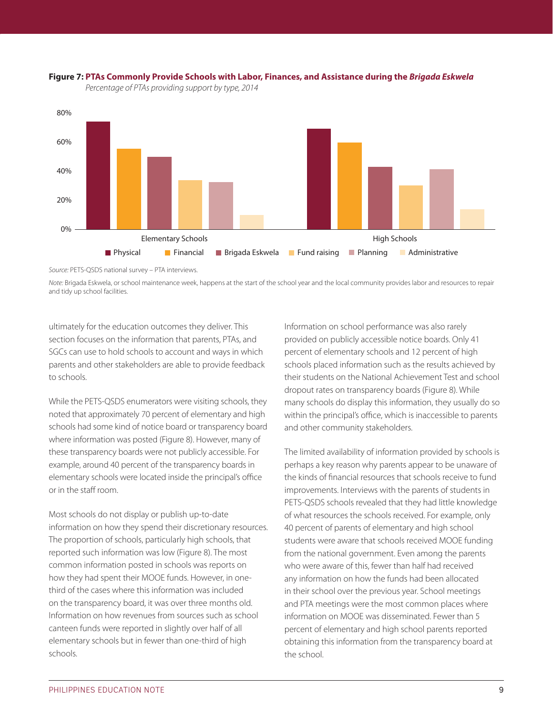



*Percentage of PTAs providing support by type, 2014*

*Source:* PETS-QSDS national survey – PTA interviews.

*Note:* Brigada Eskwela, or school maintenance week, happens at the start of the school year and the local community provides labor and resources to repair and tidy up school facilities.

ultimately for the education outcomes they deliver. This section focuses on the information that parents, PTAs, and SGCs can use to hold schools to account and ways in which parents and other stakeholders are able to provide feedback to schools.

While the PETS-QSDS enumerators were visiting schools, they noted that approximately 70 percent of elementary and high schools had some kind of notice board or transparency board where information was posted (Figure 8). However, many of these transparency boards were not publicly accessible. For example, around 40 percent of the transparency boards in elementary schools were located inside the principal's office or in the staff room.

Most schools do not display or publish up-to-date information on how they spend their discretionary resources. The proportion of schools, particularly high schools, that reported such information was low (Figure 8). The most common information posted in schools was reports on how they had spent their MOOE funds. However, in onethird of the cases where this information was included on the transparency board, it was over three months old. Information on how revenues from sources such as school canteen funds were reported in slightly over half of all elementary schools but in fewer than one-third of high schools.

Information on school performance was also rarely provided on publicly accessible notice boards. Only 41 percent of elementary schools and 12 percent of high schools placed information such as the results achieved by their students on the National Achievement Test and school dropout rates on transparency boards (Figure 8). While many schools do display this information, they usually do so within the principal's office, which is inaccessible to parents and other community stakeholders.

The limited availability of information provided by schools is perhaps a key reason why parents appear to be unaware of the kinds of financial resources that schools receive to fund improvements. Interviews with the parents of students in PETS-QSDS schools revealed that they had little knowledge of what resources the schools received. For example, only 40 percent of parents of elementary and high school students were aware that schools received MOOE funding from the national government. Even among the parents who were aware of this, fewer than half had received any information on how the funds had been allocated in their school over the previous year. School meetings and PTA meetings were the most common places where information on MOOE was disseminated. Fewer than 5 percent of elementary and high school parents reported obtaining this information from the transparency board at the school.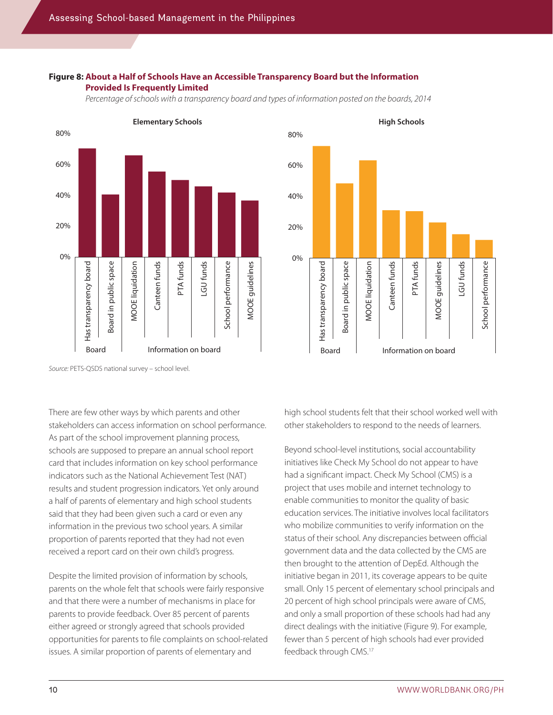#### **Figure 8: About a Half of Schools Have an Accessible Transparency Board but the Information Provided Is Frequently Limited**

*Percentage of schools with a transparency board and types of information posted on the boards, 2014*





*Source:* PETS-QSDS national survey – school level.

There are few other ways by which parents and other stakeholders can access information on school performance. As part of the school improvement planning process, schools are supposed to prepare an annual school report card that includes information on key school performance indicators such as the National Achievement Test (NAT) results and student progression indicators. Yet only around a half of parents of elementary and high school students said that they had been given such a card or even any information in the previous two school years. A similar proportion of parents reported that they had not even received a report card on their own child's progress.

Despite the limited provision of information by schools, parents on the whole felt that schools were fairly responsive and that there were a number of mechanisms in place for parents to provide feedback. Over 85 percent of parents either agreed or strongly agreed that schools provided opportunities for parents to file complaints on school-related issues. A similar proportion of parents of elementary and

high school students felt that their school worked well with other stakeholders to respond to the needs of learners.

Beyond school-level institutions, social accountability initiatives like Check My School do not appear to have had a significant impact. Check My School (CMS) is a project that uses mobile and internet technology to enable communities to monitor the quality of basic education services. The initiative involves local facilitators who mobilize communities to verify information on the status of their school. Any discrepancies between official government data and the data collected by the CMS are then brought to the attention of DepEd. Although the initiative began in 2011, its coverage appears to be quite small. Only 15 percent of elementary school principals and 20 percent of high school principals were aware of CMS, and only a small proportion of these schools had had any direct dealings with the initiative (Figure 9). For example, fewer than 5 percent of high schools had ever provided feedback through CMS.<sup>17</sup>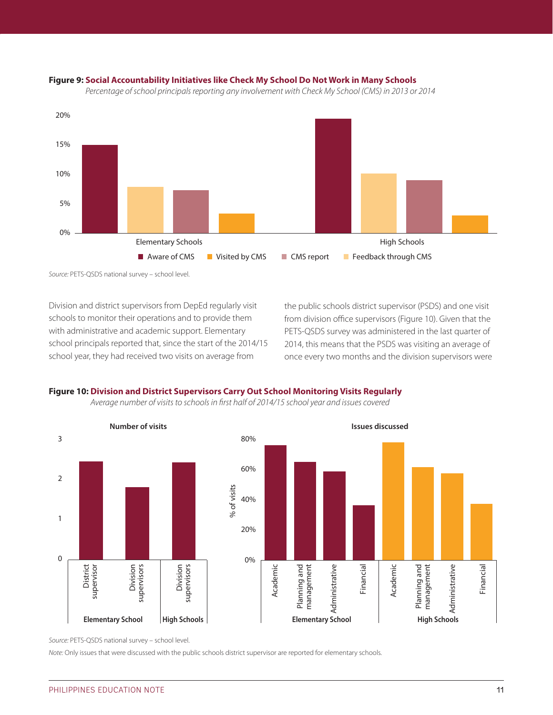#### **Figure 9: Social Accountability Initiatives like Check My School Do Not Work in Many Schools**





*Source:* PETS-QSDS national survey – school level.

Division and district supervisors from DepEd regularly visit schools to monitor their operations and to provide them with administrative and academic support. Elementary school principals reported that, since the start of the 2014/15 school year, they had received two visits on average from

the public schools district supervisor (PSDS) and one visit from division office supervisors (Figure 10). Given that the PETS-QSDS survey was administered in the last quarter of 2014, this means that the PSDS was visiting an average of once every two months and the division supervisors were

#### **Figure 10: Division and District Supervisors Carry Out School Monitoring Visits Regularly**

*Average number of visits to schools in first half of 2014/15 school year and issues covered*



*Source:* PETS-QSDS national survey – school level.

*Note:* Only issues that were discussed with the public schools district supervisor are reported for elementary schools.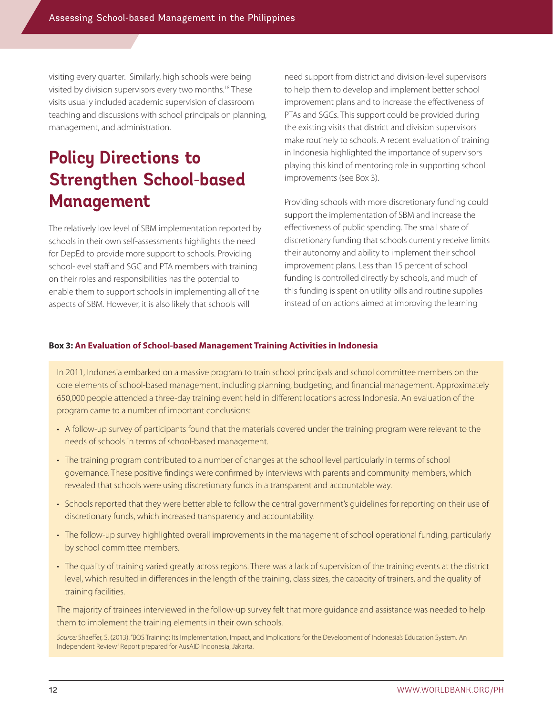visiting every quarter. Similarly, high schools were being visited by division supervisors every two months.18 These visits usually included academic supervision of classroom teaching and discussions with school principals on planning, management, and administration.

## **Policy Directions to Strengthen School-based Management**

The relatively low level of SBM implementation reported by schools in their own self-assessments highlights the need for DepEd to provide more support to schools. Providing school-level staff and SGC and PTA members with training on their roles and responsibilities has the potential to enable them to support schools in implementing all of the aspects of SBM. However, it is also likely that schools will

need support from district and division-level supervisors to help them to develop and implement better school improvement plans and to increase the effectiveness of PTAs and SGCs. This support could be provided during the existing visits that district and division supervisors make routinely to schools. A recent evaluation of training in Indonesia highlighted the importance of supervisors playing this kind of mentoring role in supporting school improvements (see Box 3).

Providing schools with more discretionary funding could support the implementation of SBM and increase the effectiveness of public spending. The small share of discretionary funding that schools currently receive limits their autonomy and ability to implement their school improvement plans. Less than 15 percent of school funding is controlled directly by schools, and much of this funding is spent on utility bills and routine supplies instead of on actions aimed at improving the learning

#### **Box 3: An Evaluation of School-based Management Training Activities in Indonesia**

In 2011, Indonesia embarked on a massive program to train school principals and school committee members on the core elements of school-based management, including planning, budgeting, and financial management. Approximately 650,000 people attended a three-day training event held in different locations across Indonesia. An evaluation of the program came to a number of important conclusions:

- • A follow-up survey of participants found that the materials covered under the training program were relevant to the needs of schools in terms of school-based management.
- The training program contributed to a number of changes at the school level particularly in terms of school governance. These positive findings were confirmed by interviews with parents and community members, which revealed that schools were using discretionary funds in a transparent and accountable way.
- Schools reported that they were better able to follow the central government's guidelines for reporting on their use of discretionary funds, which increased transparency and accountability.
- The follow-up survey highlighted overall improvements in the management of school operational funding, particularly by school committee members.
- The quality of training varied greatly across regions. There was a lack of supervision of the training events at the district level, which resulted in differences in the length of the training, class sizes, the capacity of trainers, and the quality of training facilities.

The majority of trainees interviewed in the follow-up survey felt that more guidance and assistance was needed to help them to implement the training elements in their own schools.

*Source:* Shaeffer, S. (2013). "BOS Training: Its Implementation, Impact, and Implications for the Development of Indonesia's Education System. An Independent Review" Report prepared for AusAID Indonesia, Jakarta.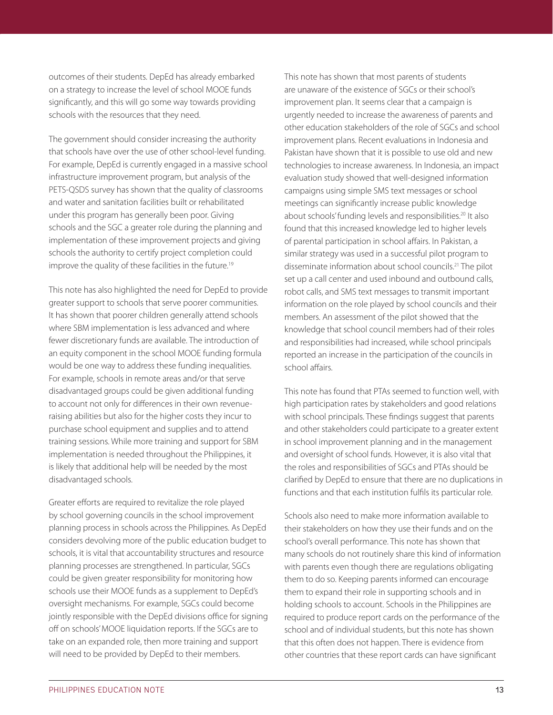outcomes of their students. DepEd has already embarked on a strategy to increase the level of school MOOE funds significantly, and this will go some way towards providing schools with the resources that they need.

The government should consider increasing the authority that schools have over the use of other school-level funding. For example, DepEd is currently engaged in a massive school infrastructure improvement program, but analysis of the PETS-QSDS survey has shown that the quality of classrooms and water and sanitation facilities built or rehabilitated under this program has generally been poor. Giving schools and the SGC a greater role during the planning and implementation of these improvement projects and giving schools the authority to certify project completion could improve the quality of these facilities in the future.<sup>19</sup>

This note has also highlighted the need for DepEd to provide greater support to schools that serve poorer communities. It has shown that poorer children generally attend schools where SBM implementation is less advanced and where fewer discretionary funds are available. The introduction of an equity component in the school MOOE funding formula would be one way to address these funding inequalities. For example, schools in remote areas and/or that serve disadvantaged groups could be given additional funding to account not only for differences in their own revenueraising abilities but also for the higher costs they incur to purchase school equipment and supplies and to attend training sessions. While more training and support for SBM implementation is needed throughout the Philippines, it is likely that additional help will be needed by the most disadvantaged schools.

Greater efforts are required to revitalize the role played by school governing councils in the school improvement planning process in schools across the Philippines. As DepEd considers devolving more of the public education budget to schools, it is vital that accountability structures and resource planning processes are strengthened. In particular, SGCs could be given greater responsibility for monitoring how schools use their MOOE funds as a supplement to DepEd's oversight mechanisms. For example, SGCs could become jointly responsible with the DepEd divisions office for signing off on schools' MOOE liquidation reports. If the SGCs are to take on an expanded role, then more training and support will need to be provided by DepEd to their members.

This note has shown that most parents of students are unaware of the existence of SGCs or their school's improvement plan. It seems clear that a campaign is urgently needed to increase the awareness of parents and other education stakeholders of the role of SGCs and school improvement plans. Recent evaluations in Indonesia and Pakistan have shown that it is possible to use old and new technologies to increase awareness. In Indonesia, an impact evaluation study showed that well-designed information campaigns using simple SMS text messages or school meetings can significantly increase public knowledge about schools' funding levels and responsibilities.<sup>20</sup> It also found that this increased knowledge led to higher levels of parental participation in school affairs. In Pakistan, a similar strategy was used in a successful pilot program to disseminate information about school councils.21 The pilot set up a call center and used inbound and outbound calls, robot calls, and SMS text messages to transmit important information on the role played by school councils and their members. An assessment of the pilot showed that the knowledge that school council members had of their roles and responsibilities had increased, while school principals reported an increase in the participation of the councils in school affairs.

This note has found that PTAs seemed to function well, with high participation rates by stakeholders and good relations with school principals. These findings suggest that parents and other stakeholders could participate to a greater extent in school improvement planning and in the management and oversight of school funds. However, it is also vital that the roles and responsibilities of SGCs and PTAs should be clarified by DepEd to ensure that there are no duplications in functions and that each institution fulfils its particular role.

Schools also need to make more information available to their stakeholders on how they use their funds and on the school's overall performance. This note has shown that many schools do not routinely share this kind of information with parents even though there are regulations obligating them to do so. Keeping parents informed can encourage them to expand their role in supporting schools and in holding schools to account. Schools in the Philippines are required to produce report cards on the performance of the school and of individual students, but this note has shown that this often does not happen. There is evidence from other countries that these report cards can have significant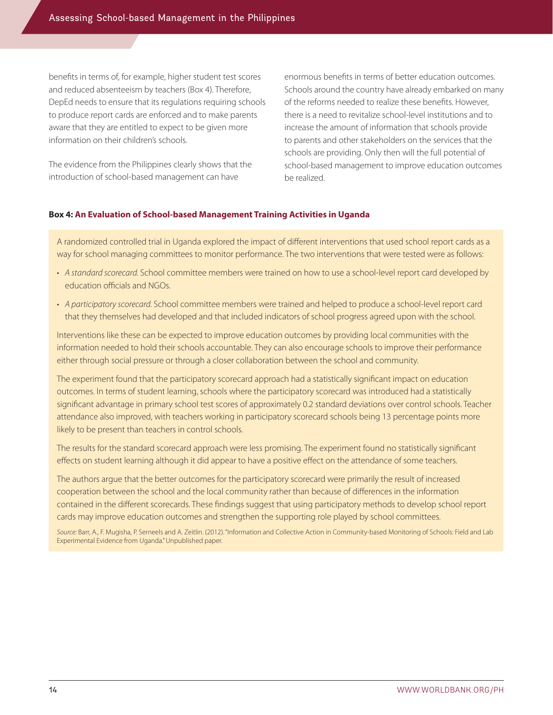benefits in terms of, for example, higher student test scores and reduced absenteeism by teachers (Box 4). Therefore, DepEd needs to ensure that its regulations requiring schools to produce report cards are enforced and to make parents aware that they are entitled to expect to be given more information on their children's schools.

The evidence from the Philippines clearly shows that the introduction of school-based management can have

enormous benefits in terms of better education outcomes. Schools around the country have already embarked on many of the reforms needed to realize these benefits. However, there is a need to revitalize school-level institutions and to increase the amount of information that schools provide to parents and other stakeholders on the services that the schools are providing. Only then will the full potential of school-based management to improve education outcomes be realized.

#### **Box 4: An Evaluation of School-based Management Training Activities in Uganda**

A randomized controlled trial in Uganda explored the impact of different interventions that used school report cards as a way for school managing committees to monitor performance. The two interventions that were tested were as follows:

- • *A standard scorecard.* School committee members were trained on how to use a school-level report card developed by education officials and NGOs.
- • *A participatory scorecard.* School committee members were trained and helped to produce a school-level report card that they themselves had developed and that included indicators of school progress agreed upon with the school.

Interventions like these can be expected to improve education outcomes by providing local communities with the information needed to hold their schools accountable. They can also encourage schools to improve their performance either through social pressure or through a closer collaboration between the school and community.

The experiment found that the participatory scorecard approach had a statistically significant impact on education outcomes. In terms of student learning, schools where the participatory scorecard was introduced had a statistically significant advantage in primary school test scores of approximately 0.2 standard deviations over control schools. Teacher attendance also improved, with teachers working in participatory scorecard schools being 13 percentage points more likely to be present than teachers in control schools.

The results for the standard scorecard approach were less promising. The experiment found no statistically significant effects on student learning although it did appear to have a positive effect on the attendance of some teachers.

The authors argue that the better outcomes for the participatory scorecard were primarily the result of increased cooperation between the school and the local community rather than because of differences in the information contained in the different scorecards. These findings suggest that using participatory methods to develop school report cards may improve education outcomes and strengthen the supporting role played by school committees.

*Source:* Barr, A., F. Mugisha, P. Serneels and A. Zeitlin. (2012). "Information and Collective Action in Community-based Monitoring of Schools: Field and Lab Experimental Evidence from Uganda." Unpublished paper.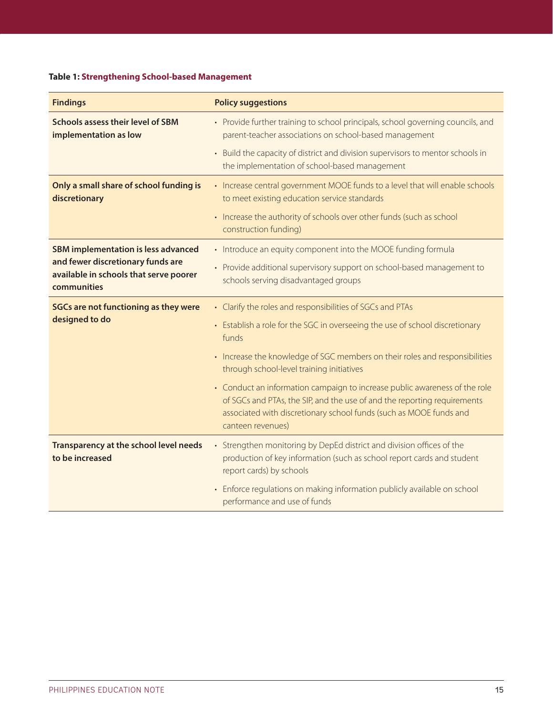#### **Table 1: Strengthening School-based Management**

| <b>Findings</b>                                                                                                                          | <b>Policy suggestions</b>                                                                                                                                                                                                                         |
|------------------------------------------------------------------------------------------------------------------------------------------|---------------------------------------------------------------------------------------------------------------------------------------------------------------------------------------------------------------------------------------------------|
| <b>Schools assess their level of SBM</b><br>implementation as low                                                                        | • Provide further training to school principals, school governing councils, and<br>parent-teacher associations on school-based management                                                                                                         |
|                                                                                                                                          | • Build the capacity of district and division supervisors to mentor schools in<br>the implementation of school-based management                                                                                                                   |
| Only a small share of school funding is<br>discretionary                                                                                 | • Increase central government MOOE funds to a level that will enable schools<br>to meet existing education service standards                                                                                                                      |
|                                                                                                                                          | • Increase the authority of schools over other funds (such as school<br>construction funding)                                                                                                                                                     |
| <b>SBM implementation is less advanced</b><br>and fewer discretionary funds are<br>available in schools that serve poorer<br>communities | • Introduce an equity component into the MOOE funding formula                                                                                                                                                                                     |
|                                                                                                                                          | • Provide additional supervisory support on school-based management to<br>schools serving disadvantaged groups                                                                                                                                    |
| <b>SGCs are not functioning as they were</b><br>designed to do                                                                           | • Clarify the roles and responsibilities of SGCs and PTAs                                                                                                                                                                                         |
|                                                                                                                                          | • Establish a role for the SGC in overseeing the use of school discretionary<br>funds                                                                                                                                                             |
|                                                                                                                                          | • Increase the knowledge of SGC members on their roles and responsibilities<br>through school-level training initiatives                                                                                                                          |
|                                                                                                                                          | • Conduct an information campaign to increase public awareness of the role<br>of SGCs and PTAs, the SIP, and the use of and the reporting requirements<br>associated with discretionary school funds (such as MOOE funds and<br>canteen revenues) |
| Transparency at the school level needs<br>to be increased                                                                                | • Strengthen monitoring by DepEd district and division offices of the<br>production of key information (such as school report cards and student<br>report cards) by schools                                                                       |
|                                                                                                                                          | • Enforce regulations on making information publicly available on school<br>performance and use of funds                                                                                                                                          |